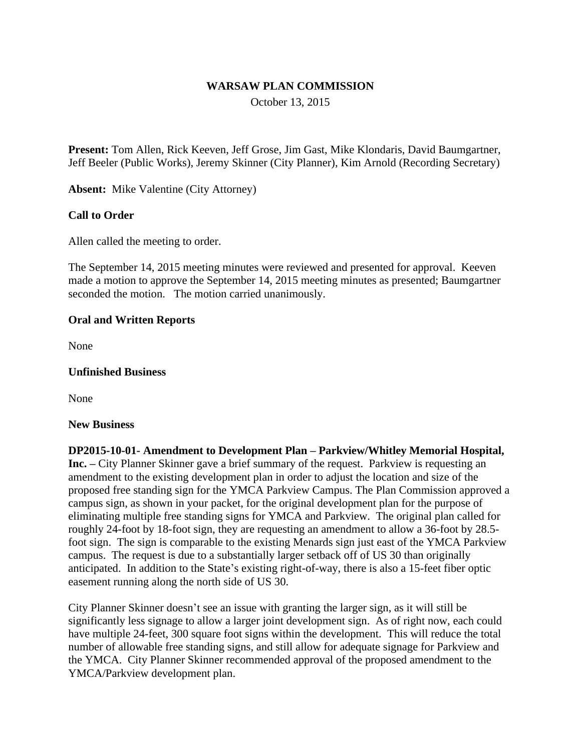## **WARSAW PLAN COMMISSION**

October 13, 2015

**Present:** Tom Allen, Rick Keeven, Jeff Grose, Jim Gast, Mike Klondaris, David Baumgartner, Jeff Beeler (Public Works), Jeremy Skinner (City Planner), Kim Arnold (Recording Secretary)

**Absent:** Mike Valentine (City Attorney)

## **Call to Order**

Allen called the meeting to order.

The September 14, 2015 meeting minutes were reviewed and presented for approval. Keeven made a motion to approve the September 14, 2015 meeting minutes as presented; Baumgartner seconded the motion. The motion carried unanimously.

## **Oral and Written Reports**

None

#### **Unfinished Business**

None

#### **New Business**

**DP2015-10-01- Amendment to Development Plan – Parkview/Whitley Memorial Hospital, Inc. –** City Planner Skinner gave a brief summary of the request. Parkview is requesting an amendment to the existing development plan in order to adjust the location and size of the proposed free standing sign for the YMCA Parkview Campus. The Plan Commission approved a campus sign, as shown in your packet, for the original development plan for the purpose of eliminating multiple free standing signs for YMCA and Parkview. The original plan called for roughly 24-foot by 18-foot sign, they are requesting an amendment to allow a 36-foot by 28.5 foot sign. The sign is comparable to the existing Menards sign just east of the YMCA Parkview campus. The request is due to a substantially larger setback off of US 30 than originally anticipated. In addition to the State's existing right-of-way, there is also a 15-feet fiber optic easement running along the north side of US 30.

City Planner Skinner doesn't see an issue with granting the larger sign, as it will still be significantly less signage to allow a larger joint development sign. As of right now, each could have multiple 24-feet, 300 square foot signs within the development. This will reduce the total number of allowable free standing signs, and still allow for adequate signage for Parkview and the YMCA. City Planner Skinner recommended approval of the proposed amendment to the YMCA/Parkview development plan.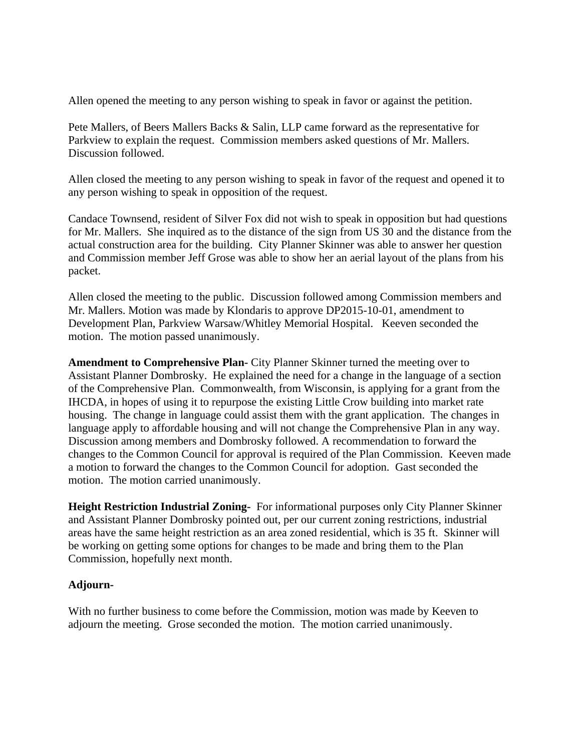Allen opened the meeting to any person wishing to speak in favor or against the petition.

Pete Mallers, of Beers Mallers Backs & Salin, LLP came forward as the representative for Parkview to explain the request. Commission members asked questions of Mr. Mallers. Discussion followed.

Allen closed the meeting to any person wishing to speak in favor of the request and opened it to any person wishing to speak in opposition of the request.

Candace Townsend, resident of Silver Fox did not wish to speak in opposition but had questions for Mr. Mallers. She inquired as to the distance of the sign from US 30 and the distance from the actual construction area for the building. City Planner Skinner was able to answer her question and Commission member Jeff Grose was able to show her an aerial layout of the plans from his packet.

Allen closed the meeting to the public. Discussion followed among Commission members and Mr. Mallers. Motion was made by Klondaris to approve DP2015-10-01, amendment to Development Plan, Parkview Warsaw/Whitley Memorial Hospital. Keeven seconded the motion. The motion passed unanimously.

**Amendment to Comprehensive Plan-** City Planner Skinner turned the meeting over to Assistant Planner Dombrosky. He explained the need for a change in the language of a section of the Comprehensive Plan. Commonwealth, from Wisconsin, is applying for a grant from the IHCDA, in hopes of using it to repurpose the existing Little Crow building into market rate housing. The change in language could assist them with the grant application. The changes in language apply to affordable housing and will not change the Comprehensive Plan in any way. Discussion among members and Dombrosky followed. A recommendation to forward the changes to the Common Council for approval is required of the Plan Commission. Keeven made a motion to forward the changes to the Common Council for adoption. Gast seconded the motion. The motion carried unanimously.

**Height Restriction Industrial Zoning-** For informational purposes only City Planner Skinner and Assistant Planner Dombrosky pointed out, per our current zoning restrictions, industrial areas have the same height restriction as an area zoned residential, which is 35 ft. Skinner will be working on getting some options for changes to be made and bring them to the Plan Commission, hopefully next month.

# **Adjourn-**

With no further business to come before the Commission, motion was made by Keeven to adjourn the meeting. Grose seconded the motion. The motion carried unanimously.